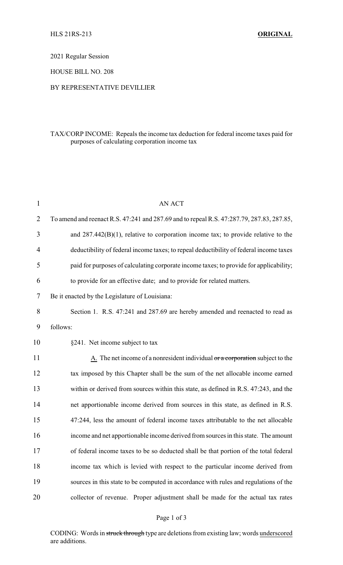2021 Regular Session

HOUSE BILL NO. 208

## BY REPRESENTATIVE DEVILLIER

## TAX/CORP INCOME: Repeals the income tax deduction for federal income taxes paid for purposes of calculating corporation income tax

| $\mathbf{1}$   | <b>AN ACT</b>                                                                                |
|----------------|----------------------------------------------------------------------------------------------|
| $\overline{2}$ | To amend and reenact R.S. 47:241 and 287.69 and to repeal R.S. 47:287.79, 287.83, 287.85,    |
| 3              | and $287.442(B)(1)$ , relative to corporation income tax; to provide relative to the         |
| 4              | deductibility of federal income taxes; to repeal deductibility of federal income taxes       |
| 5              | paid for purposes of calculating corporate income taxes; to provide for applicability;       |
| 6              | to provide for an effective date; and to provide for related matters.                        |
| 7              | Be it enacted by the Legislature of Louisiana:                                               |
| 8              | Section 1. R.S. 47:241 and 287.69 are hereby amended and reenacted to read as                |
| 9              | follows:                                                                                     |
| 10             | §241. Net income subject to tax                                                              |
| 11             | $\underline{A}$ . The net income of a nonresident individual or a corporation subject to the |
| 12             | tax imposed by this Chapter shall be the sum of the net allocable income earned              |
| 13             | within or derived from sources within this state, as defined in R.S. 47:243, and the         |
| 14             | net apportionable income derived from sources in this state, as defined in R.S.              |
| 15             | 47:244, less the amount of federal income taxes attributable to the net allocable            |
| 16             | income and net apportionable income derived from sources in this state. The amount           |
| 17             | of federal income taxes to be so deducted shall be that portion of the total federal         |
| 18             | income tax which is levied with respect to the particular income derived from                |
| 19             | sources in this state to be computed in accordance with rules and regulations of the         |
| 20             | collector of revenue. Proper adjustment shall be made for the actual tax rates               |

## Page 1 of 3

CODING: Words in struck through type are deletions from existing law; words underscored are additions.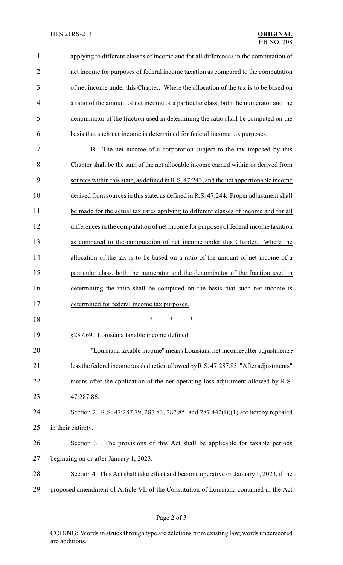| $\mathbf{1}$   | applying to different classes of income and for all differences in the computation of   |
|----------------|-----------------------------------------------------------------------------------------|
| $\overline{2}$ | net income for purposes of federal income taxation as compared to the computation       |
| 3              | of net income under this Chapter. Where the allocation of the tax is to be based on     |
| $\overline{4}$ | a ratio of the amount of net income of a particular class, both the numerator and the   |
| 5              | denominator of the fraction used in determining the ratio shall be computed on the      |
| 6              | basis that such net income is determined for federal income tax purposes.               |
| 7              | B. The net income of a corporation subject to the tax imposed by this                   |
| 8              | Chapter shall be the sum of the net allocable income earned within or derived from      |
| 9              | sources within this state, as defined in R.S. 47:243, and the net apportionable income  |
| 10             | derived from sources in this state, as defined in R.S. 47:244. Proper adjustment shall  |
| 11             | be made for the actual tax rates applying to different classes of income and for all    |
| 12             | differences in the computation of net income for purposes of federal income taxation    |
| 13             | as compared to the computation of net income under this Chapter. Where the              |
| 14             | allocation of the tax is to be based on a ratio of the amount of net income of a        |
| 15             | particular class, both the numerator and the denominator of the fraction used in        |
| 16             | determining the ratio shall be computed on the basis that such net income is            |
| 17             | determined for federal income tax purposes.                                             |
| 18             | *<br>*<br>∗                                                                             |
| 19             | §287.69. Louisiana taxable income defined                                               |
| 20             | "Louisiana taxable income" means Louisiana net income, after adjustments,               |
| 21             | less the federal income tax deduction allowed by R.S. 47:287.85. "After adjustments"    |
| 22             | means after the application of the net operating loss adjustment allowed by R.S.        |
| 23             | 47:287.86.                                                                              |
| 24             | Section 2. R.S. 47:287.79, 287.83, 287.85, and 287.442(B)(1) are hereby repealed        |
| 25             | in their entirety.                                                                      |
| 26             | The provisions of this Act shall be applicable for taxable periods<br>Section 3.        |
| 27             | beginning on or after January 1, 2023.                                                  |
| 28             | Section 4. This Act shall take effect and become operative on January 1, 2023, if the   |
| 29             | proposed amendment of Article VII of the Constitution of Louisiana contained in the Act |

CODING: Words in struck through type are deletions from existing law; words underscored are additions.